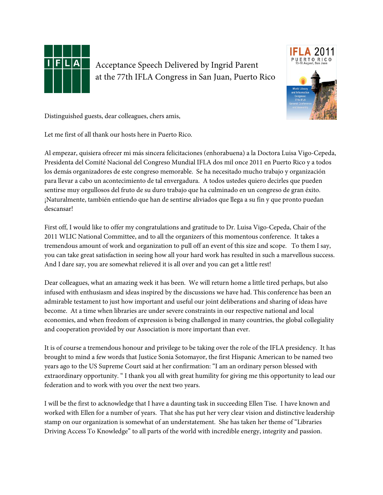

Acceptance Speech Delivered by Ingrid Parent at the 77th IFLA Congress in San Juan, Puerto Rico



Distinguished guests, dear colleagues, chers amis,

Let me first of all thank our hosts here in Puerto Rico.

Al empezar, quisiera ofrecer mi más sincera felicitaciones (enhorabuena) a la Doctora Luisa Vigo-Cepeda, Presidenta del Comité Nacional del Congreso Mundial IFLA dos mil once 2011 en Puerto Rico y a todos los demás organizadores de este congreso memorable. Se ha necesitado mucho trabajo y organización para llevar a cabo un acontecimiento de tal envergadura. A todos ustedes quiero decirles que pueden sentirse muy orgullosos del fruto de su duro trabajo que ha culminado en un congreso de gran éxito. ¡Naturalmente, también entiendo que han de sentirse aliviados que llega a su fin y que pronto puedan descansar!

First off, I would like to offer my congratulations and gratitude to Dr. Luisa Vigo-Cepeda, Chair of the 2011 WLIC National Committee, and to all the organizers of this momentous conference. It takes a tremendous amount of work and organization to pull off an event of this size and scope. To them I say, you can take great satisfaction in seeing how all your hard work has resulted in such a marvellous success. And I dare say, you are somewhat relieved it is all over and you can get a little rest!

Dear colleagues, what an amazing week it has been. We will return home a little tired perhaps, but also infused with enthusiasm and ideas inspired by the discussions we have had. This conference has been an admirable testament to just how important and useful our joint deliberations and sharing of ideas have become. At a time when libraries are under severe constraints in our respective national and local economies, and when freedom of expression is being challenged in many countries, the global collegiality and cooperation provided by our Association is more important than ever.

It is of course a tremendous honour and privilege to be taking over the role of the IFLA presidency. It has brought to mind a few words that Justice Sonia Sotomayor, the first Hispanic American to be named two years ago to the US Supreme Court said at her confirmation: "I am an ordinary person blessed with extraordinary opportunity. " I thank you all with great humility for giving me this opportunity to lead our federation and to work with you over the next two years.

I will be the first to acknowledge that I have a daunting task in succeeding Ellen Tise. I have known and worked with Ellen for a number of years. That she has put her very clear vision and distinctive leadership stamp on our organization is somewhat of an understatement. She has taken her theme of "Libraries Driving Access To Knowledge" to all parts of the world with incredible energy, integrity and passion.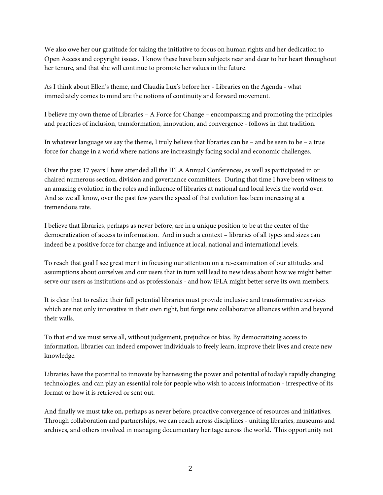We also owe her our gratitude for taking the initiative to focus on human rights and her dedication to Open Access and copyright issues. I know these have been subjects near and dear to her heart throughout her tenure, and that she will continue to promote her values in the future.

As I think about Ellen's theme, and Claudia Lux's before her - Libraries on the Agenda - what immediately comes to mind are the notions of continuity and forward movement.

I believe my own theme of Libraries – A Force for Change – encompassing and promoting the principles and practices of inclusion, transformation, innovation, and convergence - follows in that tradition.

In whatever language we say the theme, I truly believe that libraries can be – and be seen to be – a true force for change in a world where nations are increasingly facing social and economic challenges.

Over the past 17 years I have attended all the IFLA Annual Conferences, as well as participated in or chaired numerous section, division and governance committees. During that time I have been witness to an amazing evolution in the roles and influence of libraries at national and local levels the world over. And as we all know, over the past few years the speed of that evolution has been increasing at a tremendous rate.

I believe that libraries, perhaps as never before, are in a unique position to be at the center of the democratization of access to information. And in such a context – libraries of all types and sizes can indeed be a positive force for change and influence at local, national and international levels.

To reach that goal I see great merit in focusing our attention on a re-examination of our attitudes and assumptions about ourselves and our users that in turn will lead to new ideas about how we might better serve our users as institutions and as professionals - and how IFLA might better serve its own members.

It is clear that to realize their full potential libraries must provide inclusive and transformative services which are not only innovative in their own right, but forge new collaborative alliances within and beyond their walls.

To that end we must serve all, without judgement, prejudice or bias. By democratizing access to information, libraries can indeed empower individuals to freely learn, improve their lives and create new knowledge.

Libraries have the potential to innovate by harnessing the power and potential of today's rapidly changing technologies, and can play an essential role for people who wish to access information - irrespective of its format or how it is retrieved or sent out.

And finally we must take on, perhaps as never before, proactive convergence of resources and initiatives. Through collaboration and partnerships, we can reach across disciplines - uniting libraries, museums and archives, and others involved in managing documentary heritage across the world. This opportunity not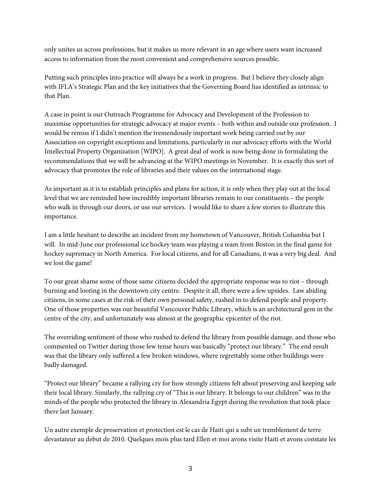only unites us across professions, but it makes us more relevant in an age where users want increased access to information from the most convenient and comprehensive sources possible.

Putting such principles into practice will always be a work in progress. But I believe they closely align with IFLA's Strategic Plan and the key initiatives that the Governing Board has identified as intrinsic to that Plan.

A case in point is our Outreach Programme for Advocacy and Development of the Profession to maximise opportunities for strategic advocacy at major events – both within and outside our profession. I would be remiss if I didn't mention the tremendously important work being carried out by our Association on copyright exceptions and limitations, particularly in our advocacy efforts with the World Intellectual Property Organization [WIPO]. A great deal of work is now being done in formulating the recommendations that we will be advancing at the WIPO meetings in November. It is exactly this sort of advocacy that promotes the role of libraries and their values on the international stage.

As important as it is to establish principles and plans for action, it is only when they play out at the local level that we are reminded how incredibly important libraries remain to our constituents – the people who walk in through our doors, or use our services. I would like to share a few stories to illustrate this importance.

I am a little hesitant to describe an incident from my hometown of Vancouver, British Columbia but I will. In mid-June our professional ice hockey team was playing a team from Boston in the final game for hockey supremacy in North America. For local citizens, and for all Canadians, it was a very big deal. And we lost the game!

To our great shame some of those same citizens decided the appropriate response was to riot – through burning and looting in the downtown city centre. Despite it all, there were a few upsides. Law abiding citizens, in some cases at the risk of their own personal safety, rushed in to defend people and property. One of those properties was our beautiful Vancouver Public Library, which is an architectural gem in the centre of the city, and unfortunately was almost at the geographic epicenter of the riot.

The overriding sentiment of those who rushed to defend the library from possible damage, and those who commented on Twitter during those few tense hours was basically "protect our library." The end result was that the library only suffered a few broken windows, where regrettably some other buildings were badly damaged.

"Protect our library" became a rallying cry for how strongly citizens felt about preserving and keeping safe their local library. Similarly, the rallying cry of "This is our library. It belongs to our children" was in the minds of the people who protected the library in Alexandria Egypt during the revolution that took place there last January.

Un autre exemple de preservation et protection est le cas de Haiti qui a subi un tremblement de terre devastateur au debut de 2010. Quelques mois plus tard Ellen et moi avons visite Haiti et avons constate les